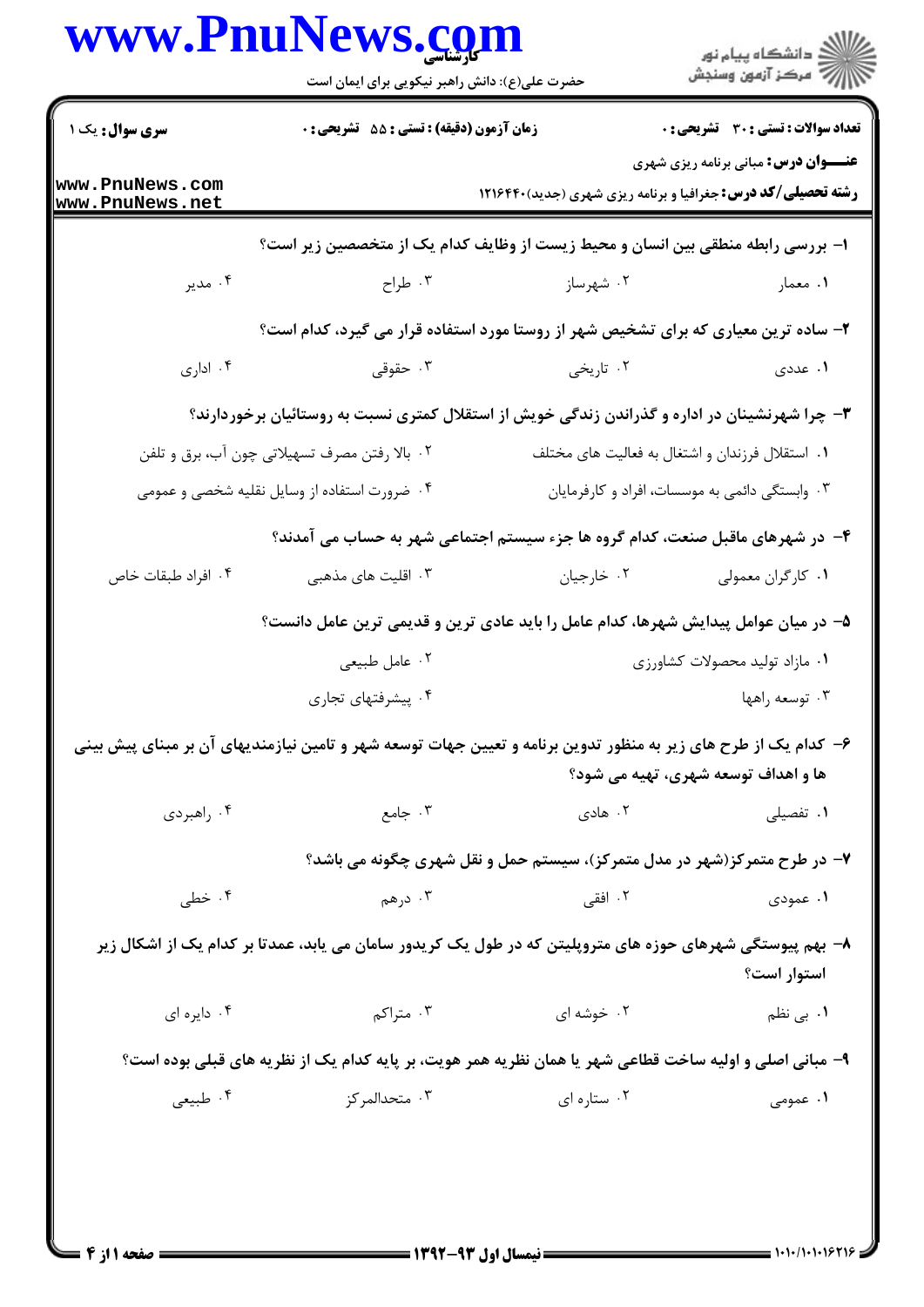|                                    | حضرت علی(ع): دانش راهبر نیکویی برای ایمان است |                                                                                                                 | ر<br>پر دانشگاه پيام نور<br>پر مرکز آزمون وسنجش                                                                   |  |
|------------------------------------|-----------------------------------------------|-----------------------------------------------------------------------------------------------------------------|-------------------------------------------------------------------------------------------------------------------|--|
| <b>سری سوال :</b> یک ۱             | زمان آزمون (دقیقه) : تستی : 55 آتشریحی : 0    |                                                                                                                 | <b>تعداد سوالات : تستی : 30 ٪ تشریحی : 0</b>                                                                      |  |
| www.PnuNews.com<br>www.PnuNews.net |                                               |                                                                                                                 | <b>عنـــوان درس:</b> مبانی برنامه ریزی شهری<br><b>رشته تحصیلی/کد درس:</b> جغرافیا و برنامه ریزی شهری (جدید)۲۱۶۴۴۰ |  |
|                                    |                                               | ا– بررسی رابطه منطقی بین انسان و محیط زیست از وظایف کدام یک از متخصصین زیر است؟                                 |                                                                                                                   |  |
| ۰۴ مدير                            | ۰۳ طراح $\cdot$                               | ۰۲ شهرساز                                                                                                       | ۰۱ معمار                                                                                                          |  |
|                                    |                                               | ۲- ساده ترین معیاری که برای تشخیص شهر از روستا مورد استفاده قرار می گیرد، کدام است؟                             |                                                                                                                   |  |
| ۰۴ اداری                           | ۰۳ حقوقی                                      | ۰۲ تاریخی                                                                                                       | ۱. عددی                                                                                                           |  |
|                                    |                                               | ۳- چرا شهرنشینان در اداره و گذراندن زندگی خویش از استقلال کمتری نسبت به روستائیان برخوردارند؟                   |                                                                                                                   |  |
|                                    | ۰۲ بالا رفتن مصرف تسهیلاتی چون آب، برق و تلفن |                                                                                                                 | ۰۱ استقلال فرزندان و اشتغال به فعالیت های مختلف                                                                   |  |
|                                    | ۰۴ ضرورت استفاده از وسایل نقلیه شخصی و عمومی  |                                                                                                                 | ۰۳ وابستگی دائمی به موسسات، افراد و کارفرمایان                                                                    |  |
|                                    |                                               | ۴– در شهرهای ماقبل صنعت، کدام گروه ها جزء سیستم اجتماعی شهر به حساب می آمدند؟                                   |                                                                                                                   |  |
| ۰۴ افراد طبقات خاص                 | ۰۳ اقلیت های مذهبی                            | ۰۲ خارجيان                                                                                                      | ۰۱ کارگران معمولی                                                                                                 |  |
|                                    |                                               | ۵– در میان عوامل پیدایش شهرها، کدام عامل را باید عادی ترین و قدیمی ترین عامل دانست؟                             |                                                                                                                   |  |
|                                    | ۰۲ عامل طبیعی                                 |                                                                                                                 | ٠١ مازاد توليد محصولات كشاورزى                                                                                    |  |
|                                    | ۰۴ پیشرفتهای تجاری                            |                                                                                                                 | ۰۳ توسعه راهها                                                                                                    |  |
|                                    |                                               | ۶– کدام یک از طرح های زیر به منظور تدوین برنامه و تعیین جهات توسعه شهر و تامین نیازمندیهای آن بر مبنای پیش بینی |                                                                                                                   |  |
|                                    |                                               |                                                                                                                 | ها و اهداف توسعه شهری، تهیه می شود؟                                                                               |  |
| ۰۴ راهبردي                         | ۰۳ جامع                                       | ۰۲ هادی                                                                                                         | ۰۱ تفصیلی                                                                                                         |  |
|                                    |                                               | ۷- در طرح متمرکز(شهر در مدل متمرکز)، سیستم حمل و نقل شهری چگونه می باشد؟                                        |                                                                                                                   |  |
| ۰۴ خطی                             | ۰۳ درهم                                       | ۲. افقی                                                                                                         | ۱. عمودی                                                                                                          |  |
|                                    |                                               | ۸– بهم پیوستگی شهرهای حوزه های متروپلیتن که در طول یک کریدور سامان می یابد، عمدتا بر کدام یک از اشکال زیر       | استوار است؟                                                                                                       |  |
| ۰۴ دايره اي                        | ۰۳ متراکم $\cdot$                             | ۰۲ خوشه ای                                                                                                      | ۰۱ ب <sub>ی</sub> نظم                                                                                             |  |
|                                    |                                               | ۹- مبانی اصلی و اولیه ساخت قطاعی شهر یا همان نظریه همر هویت، بر پایه کدام یک از نظریه های قبلی بوده است؟        |                                                                                                                   |  |
| ۰۴ طبیعی                           | ۰۳ متحدالمرکز                                 | ۰۲ ستاره ای                                                                                                     | ۰۱ عمومی                                                                                                          |  |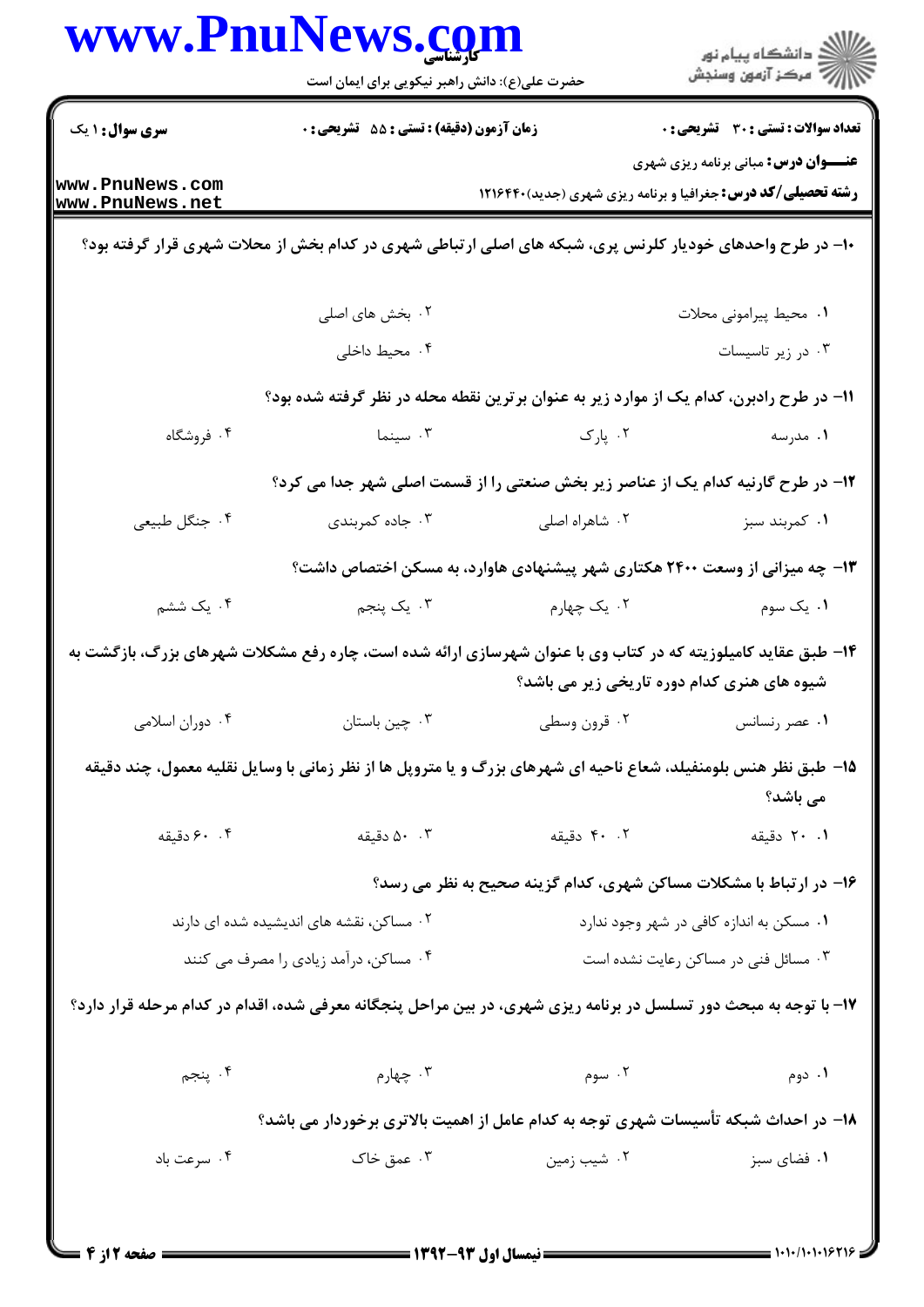| <b>سری سوال : ۱ یک</b><br>زمان آزمون (دقیقه) : تستی : 55 آتشریحی : 0<br><b>تعداد سوالات : تستي : 30 ٪ تشريحي : 0</b><br><b>عنـــوان درس:</b> مبانی برنامه ریزی شهری<br>www.PnuNews.com<br><b>رشته تحصیلی/کد درس:</b> جغرافیا و برنامه ریزی شهری (جدید)121646<br>www.PnuNews.net<br>۱۰- در طرح واحدهای خودیار کلرنس پری، شبکه های اصلی ارتباطی شهری در کدام بخش از محلات شهری قرار گرفته بود؟<br>۰۲ بخش های اصلی<br>٠١ محيط پيراموني محلات<br>۰۴ محیط داخلی<br>۰۳ در زیر تاسیسات<br>1۱– در طرح رادبرن، کدام یک از موارد زیر به عنوان برترین نقطه محله در نظر گرفته شده بود؟<br>۰۴ فروشگاه<br>۰۲ پارک<br>۰۳ سینما<br>۰۱ مدرسه<br>۱۲- در طرح گارنیه کدام یک از عناصر زیر بخش صنعتی را از قسمت اصلی شهر جدا می کرد؟<br>۰۴ جنگل طبیعی<br>۰۳ جاده کمربندی<br>۰۲ شاهراه اصلی<br>۰۱ کمربند سبز<br>۱۳- چه میزانی از وسعت ۲۴۰۰ هکتاری شهر پیشنهادی هاوارد، به مسکن اختصاص داشت؟<br>۰۴ یک ششم<br>۰۳ یک پنجم<br>۰۲ یک چهارم<br>۰۱ یک سوم<br>۱۴- طبق عقاید کامیلوزیته که در کتاب وی با عنوان شهرسازی ارائه شده است، چاره رفع مشکلات شهرهای بزرگ، بازگشت به<br>شیوه های هنری کدام دوره تاریخی زیر می باشد؟<br>۰۳ چین باستان مسلامی به نام اسلامی $\cdot$ ۴ . دوران اسلامی $\cdot$<br>۰۲ قرون وسطی<br>۰۱ عصر رنسانس<br>1۵– طبق نظر هنس بلومنفیلد، شعاع ناحیه ای شهرهای بزرگ و یا متروپل ها از نظر زمانی با وسایل نقلیه معمول، چند دقیقه<br>می باشد؟<br>۰. ۶۰ دقیقه<br>۰۰ ۵۰ دقیقه<br>۰۲ دقیقه<br>۰۱ ۲۰ دقیقه<br>۱۶- در ارتباط با مشکلات مساکن شهری، کدام گزینه صحیح به نظر می رسد؟<br>۰۱ مسکن به اندازه کافی در شهر وجود ندارد<br>۰۲ مساکن، نقشه های اندیشیده شده ای دارند<br>۰۳ مسائل فنی در مساکن رعایت نشده است<br>۰۴ مساکن، درآمد زیادی را مصرف می کنند<br>۱۷- با توجه به مبحث دور تسلسل در برنامه ریزی شهری، در بین مراحل پنجگانه معرفی شده، اقدام در کدام مرحله قرار دارد؟<br>۰۴ پنجم<br>۰۳ چهارم<br>۰۲ سوم<br>۰۱ دوم<br>۱۸– در احداث شبکه تأسیسات شهری توجه به کدام عامل از اهمیت بالاتری برخوردار می باشد؟<br>۰۴ سرعت باد<br>۰۳ عمق خاک<br>۰۲ شیب زمین<br>۰۱ فضای سبز | www.PnuNews.com | حضرت علی(ع): دانش راهبر نیکویی برای ایمان است | ڪ دانشڪاه پيام نور<br>//> مرڪز آزمون وسنڊش |  |
|----------------------------------------------------------------------------------------------------------------------------------------------------------------------------------------------------------------------------------------------------------------------------------------------------------------------------------------------------------------------------------------------------------------------------------------------------------------------------------------------------------------------------------------------------------------------------------------------------------------------------------------------------------------------------------------------------------------------------------------------------------------------------------------------------------------------------------------------------------------------------------------------------------------------------------------------------------------------------------------------------------------------------------------------------------------------------------------------------------------------------------------------------------------------------------------------------------------------------------------------------------------------------------------------------------------------------------------------------------------------------------------------------------------------------------------------------------------------------------------------------------------------------------------------------------------------------------------------------------------------------------------------------------------------------------------------------------------------------------------------------------------------------------------------------------------------------------------------------------------------------------------------------------------------------------------------------------------|-----------------|-----------------------------------------------|--------------------------------------------|--|
|                                                                                                                                                                                                                                                                                                                                                                                                                                                                                                                                                                                                                                                                                                                                                                                                                                                                                                                                                                                                                                                                                                                                                                                                                                                                                                                                                                                                                                                                                                                                                                                                                                                                                                                                                                                                                                                                                                                                                                |                 |                                               |                                            |  |
|                                                                                                                                                                                                                                                                                                                                                                                                                                                                                                                                                                                                                                                                                                                                                                                                                                                                                                                                                                                                                                                                                                                                                                                                                                                                                                                                                                                                                                                                                                                                                                                                                                                                                                                                                                                                                                                                                                                                                                |                 |                                               |                                            |  |
|                                                                                                                                                                                                                                                                                                                                                                                                                                                                                                                                                                                                                                                                                                                                                                                                                                                                                                                                                                                                                                                                                                                                                                                                                                                                                                                                                                                                                                                                                                                                                                                                                                                                                                                                                                                                                                                                                                                                                                |                 |                                               |                                            |  |
|                                                                                                                                                                                                                                                                                                                                                                                                                                                                                                                                                                                                                                                                                                                                                                                                                                                                                                                                                                                                                                                                                                                                                                                                                                                                                                                                                                                                                                                                                                                                                                                                                                                                                                                                                                                                                                                                                                                                                                |                 |                                               |                                            |  |
|                                                                                                                                                                                                                                                                                                                                                                                                                                                                                                                                                                                                                                                                                                                                                                                                                                                                                                                                                                                                                                                                                                                                                                                                                                                                                                                                                                                                                                                                                                                                                                                                                                                                                                                                                                                                                                                                                                                                                                |                 |                                               |                                            |  |
|                                                                                                                                                                                                                                                                                                                                                                                                                                                                                                                                                                                                                                                                                                                                                                                                                                                                                                                                                                                                                                                                                                                                                                                                                                                                                                                                                                                                                                                                                                                                                                                                                                                                                                                                                                                                                                                                                                                                                                |                 |                                               |                                            |  |
|                                                                                                                                                                                                                                                                                                                                                                                                                                                                                                                                                                                                                                                                                                                                                                                                                                                                                                                                                                                                                                                                                                                                                                                                                                                                                                                                                                                                                                                                                                                                                                                                                                                                                                                                                                                                                                                                                                                                                                |                 |                                               |                                            |  |
|                                                                                                                                                                                                                                                                                                                                                                                                                                                                                                                                                                                                                                                                                                                                                                                                                                                                                                                                                                                                                                                                                                                                                                                                                                                                                                                                                                                                                                                                                                                                                                                                                                                                                                                                                                                                                                                                                                                                                                |                 |                                               |                                            |  |
|                                                                                                                                                                                                                                                                                                                                                                                                                                                                                                                                                                                                                                                                                                                                                                                                                                                                                                                                                                                                                                                                                                                                                                                                                                                                                                                                                                                                                                                                                                                                                                                                                                                                                                                                                                                                                                                                                                                                                                |                 |                                               |                                            |  |
|                                                                                                                                                                                                                                                                                                                                                                                                                                                                                                                                                                                                                                                                                                                                                                                                                                                                                                                                                                                                                                                                                                                                                                                                                                                                                                                                                                                                                                                                                                                                                                                                                                                                                                                                                                                                                                                                                                                                                                |                 |                                               |                                            |  |
|                                                                                                                                                                                                                                                                                                                                                                                                                                                                                                                                                                                                                                                                                                                                                                                                                                                                                                                                                                                                                                                                                                                                                                                                                                                                                                                                                                                                                                                                                                                                                                                                                                                                                                                                                                                                                                                                                                                                                                |                 |                                               |                                            |  |
|                                                                                                                                                                                                                                                                                                                                                                                                                                                                                                                                                                                                                                                                                                                                                                                                                                                                                                                                                                                                                                                                                                                                                                                                                                                                                                                                                                                                                                                                                                                                                                                                                                                                                                                                                                                                                                                                                                                                                                |                 |                                               |                                            |  |
|                                                                                                                                                                                                                                                                                                                                                                                                                                                                                                                                                                                                                                                                                                                                                                                                                                                                                                                                                                                                                                                                                                                                                                                                                                                                                                                                                                                                                                                                                                                                                                                                                                                                                                                                                                                                                                                                                                                                                                |                 |                                               |                                            |  |
|                                                                                                                                                                                                                                                                                                                                                                                                                                                                                                                                                                                                                                                                                                                                                                                                                                                                                                                                                                                                                                                                                                                                                                                                                                                                                                                                                                                                                                                                                                                                                                                                                                                                                                                                                                                                                                                                                                                                                                |                 |                                               |                                            |  |
|                                                                                                                                                                                                                                                                                                                                                                                                                                                                                                                                                                                                                                                                                                                                                                                                                                                                                                                                                                                                                                                                                                                                                                                                                                                                                                                                                                                                                                                                                                                                                                                                                                                                                                                                                                                                                                                                                                                                                                |                 |                                               |                                            |  |
|                                                                                                                                                                                                                                                                                                                                                                                                                                                                                                                                                                                                                                                                                                                                                                                                                                                                                                                                                                                                                                                                                                                                                                                                                                                                                                                                                                                                                                                                                                                                                                                                                                                                                                                                                                                                                                                                                                                                                                |                 |                                               |                                            |  |
|                                                                                                                                                                                                                                                                                                                                                                                                                                                                                                                                                                                                                                                                                                                                                                                                                                                                                                                                                                                                                                                                                                                                                                                                                                                                                                                                                                                                                                                                                                                                                                                                                                                                                                                                                                                                                                                                                                                                                                |                 |                                               |                                            |  |
|                                                                                                                                                                                                                                                                                                                                                                                                                                                                                                                                                                                                                                                                                                                                                                                                                                                                                                                                                                                                                                                                                                                                                                                                                                                                                                                                                                                                                                                                                                                                                                                                                                                                                                                                                                                                                                                                                                                                                                |                 |                                               |                                            |  |
|                                                                                                                                                                                                                                                                                                                                                                                                                                                                                                                                                                                                                                                                                                                                                                                                                                                                                                                                                                                                                                                                                                                                                                                                                                                                                                                                                                                                                                                                                                                                                                                                                                                                                                                                                                                                                                                                                                                                                                |                 |                                               |                                            |  |
|                                                                                                                                                                                                                                                                                                                                                                                                                                                                                                                                                                                                                                                                                                                                                                                                                                                                                                                                                                                                                                                                                                                                                                                                                                                                                                                                                                                                                                                                                                                                                                                                                                                                                                                                                                                                                                                                                                                                                                |                 |                                               |                                            |  |
|                                                                                                                                                                                                                                                                                                                                                                                                                                                                                                                                                                                                                                                                                                                                                                                                                                                                                                                                                                                                                                                                                                                                                                                                                                                                                                                                                                                                                                                                                                                                                                                                                                                                                                                                                                                                                                                                                                                                                                |                 |                                               |                                            |  |
|                                                                                                                                                                                                                                                                                                                                                                                                                                                                                                                                                                                                                                                                                                                                                                                                                                                                                                                                                                                                                                                                                                                                                                                                                                                                                                                                                                                                                                                                                                                                                                                                                                                                                                                                                                                                                                                                                                                                                                |                 |                                               |                                            |  |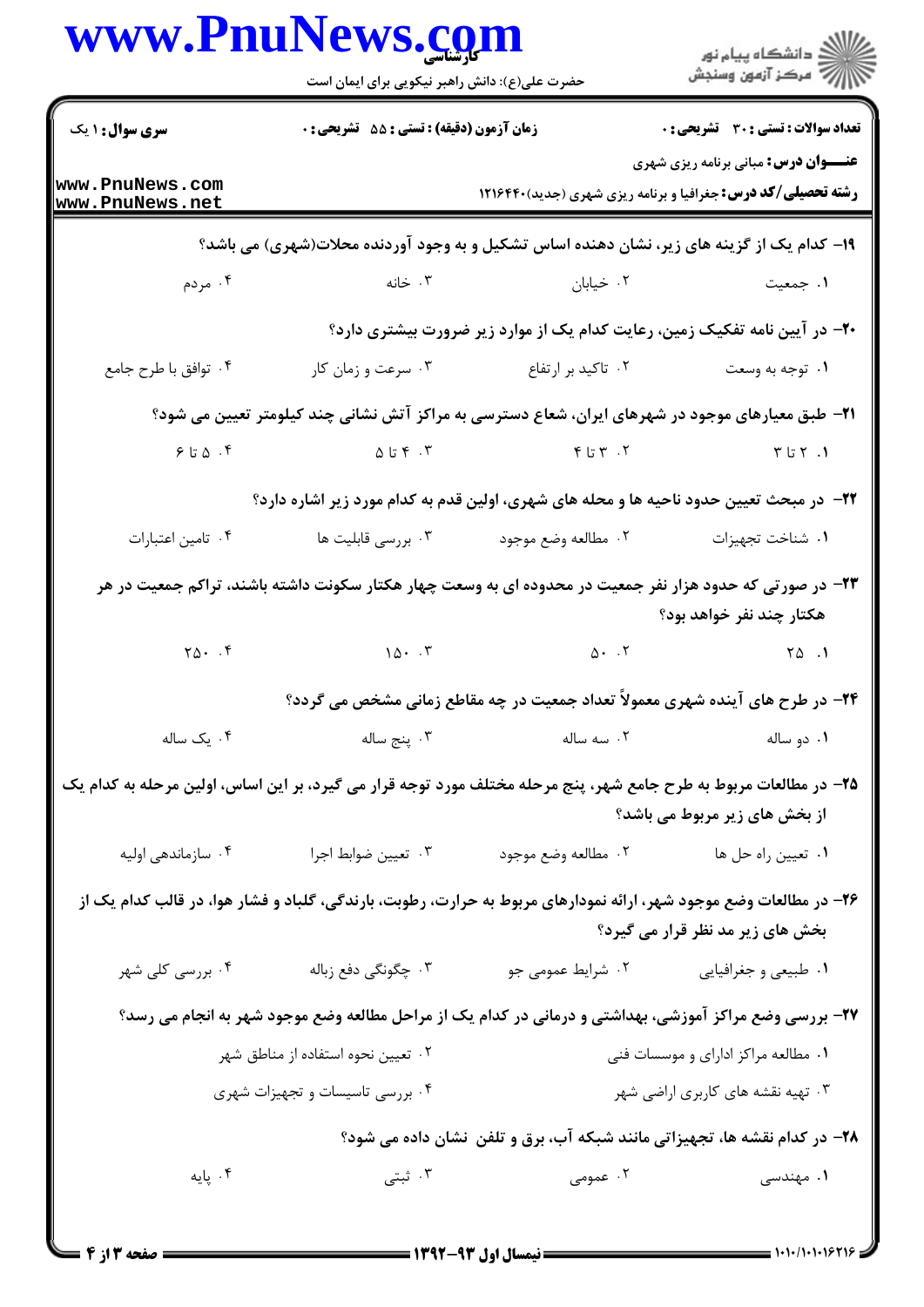|                                                                                                                   | حضرت علی(ع): دانش راهبر نیکویی برای ایمان است |                                                                                                                    | ر<br>اي دانشڪاه پيام نور<br>اي                                                                                    |
|-------------------------------------------------------------------------------------------------------------------|-----------------------------------------------|--------------------------------------------------------------------------------------------------------------------|-------------------------------------------------------------------------------------------------------------------|
| <b>سری سوال : ۱ یک</b>                                                                                            | زمان آزمون (دقیقه) : تستی : 55 آتشریحی : 0    |                                                                                                                    | <b>تعداد سوالات : تستی : 30 ٪ تشریحی : 0</b>                                                                      |
| www.PnuNews.com<br>www.PnuNews.net                                                                                |                                               |                                                                                                                    | <b>عنـــوان درس:</b> مبانی برنامه ریزی شهری<br><b>رشته تحصیلی/کد درس:</b> جغرافیا و برنامه ریزی شهری (جدید)۲۱۶۴۴۰ |
|                                                                                                                   |                                               | ۱۹- کدام یک از گزینه های زیر، نشان دهنده اساس تشکیل و به وجود آوردنده محلات(شهری) می باشد؟                         |                                                                                                                   |
| ۰۴ مردم                                                                                                           |                                               | ۰۲ خیابان مسلمان است. تخانه                                                                                        | ۰۱ جمعیت                                                                                                          |
|                                                                                                                   |                                               | +۲- در آیین نامه تفکیک زمین، رعایت کدام یک از موارد زیر ضرورت بیشتری دارد؟                                         |                                                                                                                   |
| ۰۴ توافق با طرح جامع                                                                                              | ۰۳ سرعت و زمان کار                            | ۰۲ تاکید بر ارتفاع                                                                                                 | ۰۱ توجه به وسعت                                                                                                   |
|                                                                                                                   |                                               | <b>۲۱</b> – طبق معیارهای موجود در شهرهای ایران، شعاع دسترسی به مراکز آتش نشانی چند کیلومتر تعیین می شود؟           |                                                                                                                   |
| $9.5\,$ ۵ ، ۴                                                                                                     |                                               | ו. ז"ם ל' מ"ס אין ל' ז"ם ל' מ"ס מ"ס ל' מ"ס ל' מ"ס מ"ס ל' מ"ס ל' מ"ס ל' מ"ס ל' מ"ס ל' מ"ס ל' מ"ס ל' מ               |                                                                                                                   |
|                                                                                                                   |                                               | <b>۲۲</b> - در مبحث تعیین حدود ناحیه ها و محله های شهری، اولین قدم به کدام مورد زیر اشاره دارد؟                    |                                                                                                                   |
| ۰۴ تامين اعتبارات                                                                                                 | ۰۳ بررسی قابلیت ها                            | ۰۲ مطالعه وضع موجود                                                                                                | ٠١. شناخت تجهيزات                                                                                                 |
|                                                                                                                   |                                               | ۲۳– در صورتی که حدود هزار نفر جمعیت در محدوده ای به وسعت چهار هکتار سکونت داشته باشند، تراکم جمعیت در هر           | هکتار چند نفر خواهد بود؟                                                                                          |
| $Y \Delta$ . $\phi$                                                                                               |                                               | $10.7$ $0.7$ $0.7$ $0.1$                                                                                           |                                                                                                                   |
|                                                                                                                   |                                               | ۲۴- در طرح های آینده شهری معمولاً تعداد جمعیت در چه مقاطع زمانی مشخص می گردد؟                                      |                                                                                                                   |
| ۰۴ یک ساله                                                                                                        | ۰۳ پنج ساله                                   | ۰۲ سه ساله                                                                                                         | ۰۱ دو ساله                                                                                                        |
| ۲۵– در مطالعات مربوط به طرح جامع شهر، پنج مرحله مختلف مورد توجه قرار می گیرد، بر این اساس، اولین مرحله به کدام یک |                                               |                                                                                                                    | از بخش های زیر مربوط می باشد؟                                                                                     |
| ۰۴ سازماندهی اولیه                                                                                                | ۰۳ تعيين ضوابط اجرا                           | ۰۲ مطالعه وضع موجود                                                                                                | ٠١ تعيين راه حل ها                                                                                                |
|                                                                                                                   |                                               | ۲۶– در مطالعات وضع موجود شهر، ارائه نمودارهای مربوط به حرارت، رطوبت، بارندگی، گلباد و فشار هوا، در قالب کدام یک از | بخش های زیر مد نظر قرار می گیرد؟                                                                                  |
| ۰۴ بررسی کلی شهر                                                                                                  | ۴. چگونگی دفع زباله                           | ۰۲ شرایط عمومی جو                                                                                                  | ٠١ طبيعي و جغرافيايي                                                                                              |
|                                                                                                                   |                                               | ۲۷- بررسی وضع مراکز آموزشی، بهداشتی و درمانی در کدام یک از مراحل مطالعه وضع موجود شهر به انجام می رسد؟             |                                                                                                                   |
| ۰۲ تعیین نحوه استفاده از مناطق شهر                                                                                |                                               |                                                                                                                    | ۰۱ مطالعه مراکز ادارای و موسسات فنی                                                                               |
|                                                                                                                   | ۰۴ بررسی تاسیسات و تجهیزات شهری               |                                                                                                                    | ۰۳ تهیه نقشه های کاربری اراضی شهر                                                                                 |
|                                                                                                                   |                                               | ۲۸- در کدام نقشه ها، تجهیزاتی مانند شبکه آب، برق و تلفن ًنشان داده می شود؟                                         |                                                                                                                   |
| ۰۴ پایه                                                                                                           | ۰۳ ثبتی                                       | ۰۲ عمومی                                                                                                           | ۰۱ مهندسی                                                                                                         |